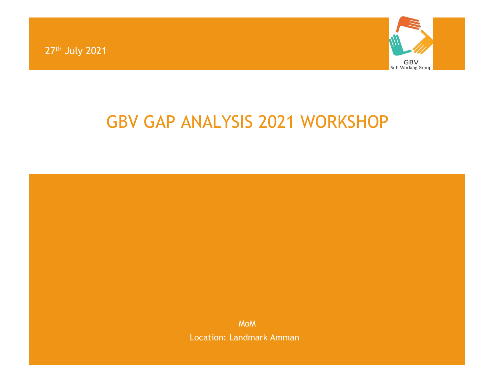27th July 2021



## GBV GAP ANALYSIS 2021 WORKSHOP

MoM Location: Landmark Amman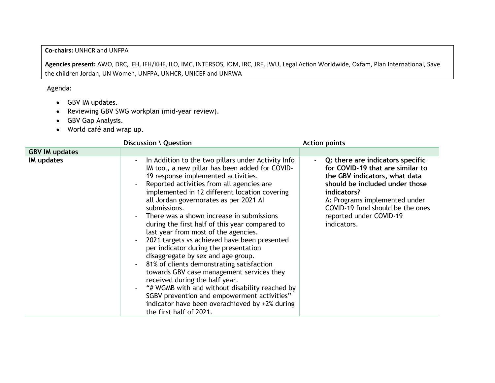## **Co-chairs:** UNHCR and UNFPA

**Agencies present:** AWO, DRC, IFH, IFH/KHF, ILO, IMC, INTERSOS, IOM, IRC, JRF, JWU, Legal Action Worldwide, Oxfam, Plan International, Save the children Jordan, UN Women, UNFPA, UNHCR, UNICEF and UNRWA

Agenda:

- GBV IM updates.
- Reviewing GBV SWG workplan (mid-year review).
- GBV Gap Analysis.
- World café and wrap up.

|                       | Discussion \ Question                                                                                                                                                                                                                                                                                                                                                                                                                                                                                                                                                                                                                                                                                                                                                                                                                                                                | <b>Action points</b>                                                                                                                                                                                                                                                            |
|-----------------------|--------------------------------------------------------------------------------------------------------------------------------------------------------------------------------------------------------------------------------------------------------------------------------------------------------------------------------------------------------------------------------------------------------------------------------------------------------------------------------------------------------------------------------------------------------------------------------------------------------------------------------------------------------------------------------------------------------------------------------------------------------------------------------------------------------------------------------------------------------------------------------------|---------------------------------------------------------------------------------------------------------------------------------------------------------------------------------------------------------------------------------------------------------------------------------|
| <b>GBV IM updates</b> |                                                                                                                                                                                                                                                                                                                                                                                                                                                                                                                                                                                                                                                                                                                                                                                                                                                                                      |                                                                                                                                                                                                                                                                                 |
| IM updates            | In Addition to the two pillars under Activity Info<br>IM tool, a new pillar has been added for COVID-<br>19 response implemented activities.<br>Reported activities from all agencies are<br>implemented in 12 different location covering<br>all Jordan governorates as per 2021 Al<br>submissions.<br>There was a shown increase in submissions<br>during the first half of this year compared to<br>last year from most of the agencies.<br>2021 targets vs achieved have been presented<br>per indicator during the presentation<br>disaggregate by sex and age group.<br>81% of clients demonstrating satisfaction<br>towards GBV case management services they<br>received during the half year.<br>"# WGMB with and without disability reached by<br>SGBV prevention and empowerment activities"<br>indicator have been overachieved by +2% during<br>the first half of 2021. | Q: there are indicators specific<br>$\sim$<br>for COVID-19 that are similar to<br>the GBV indicators, what data<br>should be included under those<br>indicators?<br>A: Programs implemented under<br>COVID-19 fund should be the ones<br>reported under COVID-19<br>indicators. |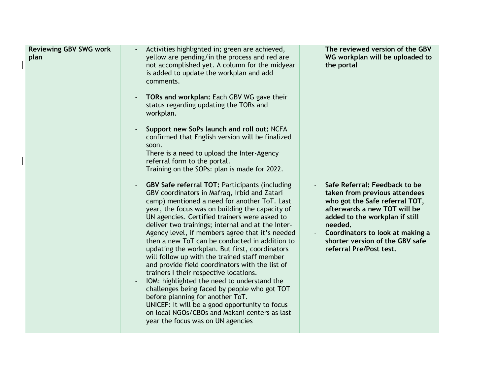| <b>Reviewing GBV SWG work</b><br>plan | Activities highlighted in; green are achieved,<br>yellow are pending/in the process and red are<br>not accomplished yet. A column for the midyear<br>is added to update the workplan and add<br>comments.<br>TORs and workplan: Each GBV WG gave their<br>status regarding updating the TORs and<br>workplan.<br>Support new SoPs launch and roll out: NCFA<br>confirmed that English version will be finalized<br>soon.<br>There is a need to upload the Inter-Agency<br>referral form to the portal.<br>Training on the SOPs: plan is made for 2022.                                                                                                                                                                                                                                                                                                                                                          | The reviewed version of the GBV<br>WG workplan will be uploaded to<br>the portal                                                                                                                                                                                                |
|---------------------------------------|-----------------------------------------------------------------------------------------------------------------------------------------------------------------------------------------------------------------------------------------------------------------------------------------------------------------------------------------------------------------------------------------------------------------------------------------------------------------------------------------------------------------------------------------------------------------------------------------------------------------------------------------------------------------------------------------------------------------------------------------------------------------------------------------------------------------------------------------------------------------------------------------------------------------|---------------------------------------------------------------------------------------------------------------------------------------------------------------------------------------------------------------------------------------------------------------------------------|
|                                       | <b>GBV Safe referral TOT: Participants (including</b><br>$\blacksquare$<br>GBV coordinators in Mafraq, Irbid and Zatari<br>camp) mentioned a need for another ToT. Last<br>year, the focus was on building the capacity of<br>UN agencies. Certified trainers were asked to<br>deliver two trainings; internal and at the Inter-<br>Agency level, if members agree that it's needed<br>then a new ToT can be conducted in addition to<br>updating the workplan. But first, coordinators<br>will follow up with the trained staff member<br>and provide field coordinators with the list of<br>trainers I their respective locations.<br>IOM: highlighted the need to understand the<br>challenges being faced by people who got TOT<br>before planning for another ToT.<br>UNICEF: It will be a good opportunity to focus<br>on local NGOs/CBOs and Makani centers as last<br>year the focus was on UN agencies | Safe Referral: Feedback to be<br>taken from previous attendees<br>who got the Safe referral TOT,<br>afterwards a new TOT will be<br>added to the workplan if still<br>needed.<br>Coordinators to look at making a<br>shorter version of the GBV safe<br>referral Pre/Post test. |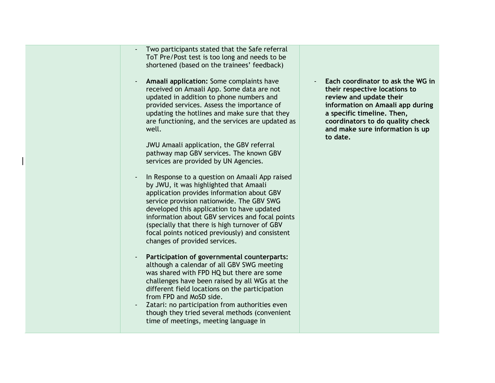| Two participants stated that the Safe referral<br>ToT Pre/Post test is too long and needs to be<br>shortened (based on the trainees' feedback)                                                                                                                                                                                                                                                                                              |  |
|---------------------------------------------------------------------------------------------------------------------------------------------------------------------------------------------------------------------------------------------------------------------------------------------------------------------------------------------------------------------------------------------------------------------------------------------|--|
| Amaali application: Some complaints have<br>received on Amaali App. Some data are not<br>updated in addition to phone numbers and<br>provided services. Assess the importance of<br>updating the hotlines and make sure that they<br>are functioning, and the services are updated as<br>well.                                                                                                                                              |  |
| JWU Amaali application, the GBV referral<br>pathway map GBV services. The known GBV<br>services are provided by UN Agencies.                                                                                                                                                                                                                                                                                                                |  |
| In Response to a question on Amaali App raised<br>$\blacksquare$<br>by JWU, it was highlighted that Amaali<br>application provides information about GBV<br>service provision nationwide. The GBV SWG<br>developed this application to have updated<br>information about GBV services and focal points<br>(specially that there is high turnover of GBV<br>focal points noticed previously) and consistent<br>changes of provided services. |  |
| Participation of governmental counterparts:<br>although a calendar of all GBV SWG meeting<br>was shared with FPD HQ but there are some<br>challenges have been raised by all WGs at the<br>different field locations on the participation<br>from FPD and MoSD side.<br>Zatari: no participation from authorities even<br>though they tried several methods (convenient<br>time of meetings, meeting language in                            |  |
|                                                                                                                                                                                                                                                                                                                                                                                                                                             |  |

- **Each coordinator to ask the WG in their respective locations to review and update their information on Amaali app during a specific timeline. Then, coordinators to do quality check and make sure information is up to date.**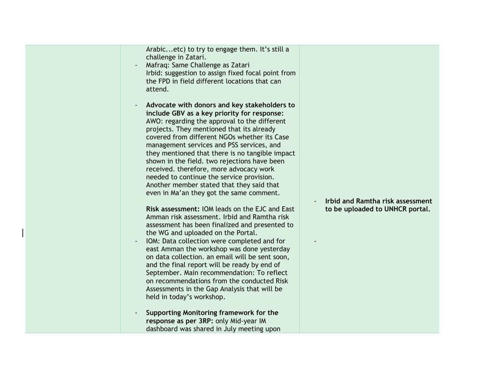|  |  | Arabicetc) to try to engage them. It's still a<br>challenge in Zatari.<br>Mafraq: Same Challenge as Zatari<br>Irbid: suggestion to assign fixed focal point from<br>the FPD in field different locations that can<br>attend.<br>Advocate with donors and key stakeholders to<br>include GBV as a key priority for response:<br>AWO: regarding the approval to the different<br>projects. They mentioned that its already<br>covered from different NGOs whether its Case<br>management services and PSS services, and<br>they mentioned that there is no tangible impact<br>shown in the field. two rejections have been<br>received. therefore, more advocacy work<br>needed to continue the service provision.<br>Another member stated that they said that<br>even in Ma'an they got the same comment.<br>Risk assessment: IOM leads on the EJC and East<br>Amman risk assessment. Irbid and Ramtha risk<br>assessment has been finalized and presented to<br>the WG and uploaded on the Portal.<br>IOM: Data collection were completed and for<br>east Amman the workshop was done yesterday<br>on data collection. an email will be sent soon,<br>and the final report will be ready by end of<br>September. Main recommendation: To reflect<br>on recommendations from the conducted Risk<br>Assessments in the Gap Analysis that will be<br>held in today's workshop.<br>Supporting Monitoring framework for the | <b>Irbid and Ramtha risk assessment</b><br>to be uploaded to UNHCR portal. |
|--|--|-------------------------------------------------------------------------------------------------------------------------------------------------------------------------------------------------------------------------------------------------------------------------------------------------------------------------------------------------------------------------------------------------------------------------------------------------------------------------------------------------------------------------------------------------------------------------------------------------------------------------------------------------------------------------------------------------------------------------------------------------------------------------------------------------------------------------------------------------------------------------------------------------------------------------------------------------------------------------------------------------------------------------------------------------------------------------------------------------------------------------------------------------------------------------------------------------------------------------------------------------------------------------------------------------------------------------------------------------------------------------------------------------------------------------|----------------------------------------------------------------------------|
|--|--|-------------------------------------------------------------------------------------------------------------------------------------------------------------------------------------------------------------------------------------------------------------------------------------------------------------------------------------------------------------------------------------------------------------------------------------------------------------------------------------------------------------------------------------------------------------------------------------------------------------------------------------------------------------------------------------------------------------------------------------------------------------------------------------------------------------------------------------------------------------------------------------------------------------------------------------------------------------------------------------------------------------------------------------------------------------------------------------------------------------------------------------------------------------------------------------------------------------------------------------------------------------------------------------------------------------------------------------------------------------------------------------------------------------------------|----------------------------------------------------------------------------|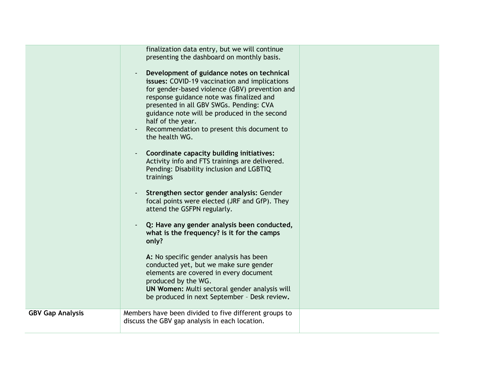| <b>GBV Gap Analysis</b> | finalization data entry, but we will continue<br>presenting the dashboard on monthly basis.<br>Development of guidance notes on technical<br>issues: COVID-19 vaccination and implications<br>for gender-based violence (GBV) prevention and<br>response guidance note was finalized and<br>presented in all GBV SWGs. Pending: CVA<br>guidance note will be produced in the second<br>half of the year.<br>Recommendation to present this document to<br>the health WG.<br>Coordinate capacity building initiatives:<br>Activity info and FTS trainings are delivered.<br>Pending: Disability inclusion and LGBTIQ<br>trainings<br>Strengthen sector gender analysis: Gender<br>focal points were elected (JRF and GfP). They<br>attend the GSFPN regularly.<br>Q: Have any gender analysis been conducted,<br>what is the frequency? is it for the camps<br>only?<br>A: No specific gender analysis has been<br>conducted yet, but we make sure gender<br>elements are covered in every document<br>produced by the WG.<br>UN Women: Multi sectoral gender analysis will<br>be produced in next September - Desk review.<br>Members have been divided to five different groups to |  |
|-------------------------|-------------------------------------------------------------------------------------------------------------------------------------------------------------------------------------------------------------------------------------------------------------------------------------------------------------------------------------------------------------------------------------------------------------------------------------------------------------------------------------------------------------------------------------------------------------------------------------------------------------------------------------------------------------------------------------------------------------------------------------------------------------------------------------------------------------------------------------------------------------------------------------------------------------------------------------------------------------------------------------------------------------------------------------------------------------------------------------------------------------------------------------------------------------------------------------|--|
|                         | discuss the GBV gap analysis in each location.                                                                                                                                                                                                                                                                                                                                                                                                                                                                                                                                                                                                                                                                                                                                                                                                                                                                                                                                                                                                                                                                                                                                      |  |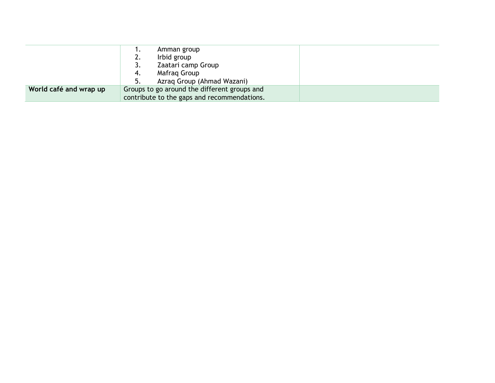|                        | ٠.                                          | Amman group                                  |  |
|------------------------|---------------------------------------------|----------------------------------------------|--|
|                        | 2.                                          | Irbid group                                  |  |
|                        | 3.                                          | Zaatari camp Group                           |  |
|                        | 4.                                          | Mafrag Group                                 |  |
|                        |                                             | Azrag Group (Ahmad Wazani)                   |  |
| World café and wrap up |                                             | Groups to go around the different groups and |  |
|                        | contribute to the gaps and recommendations. |                                              |  |